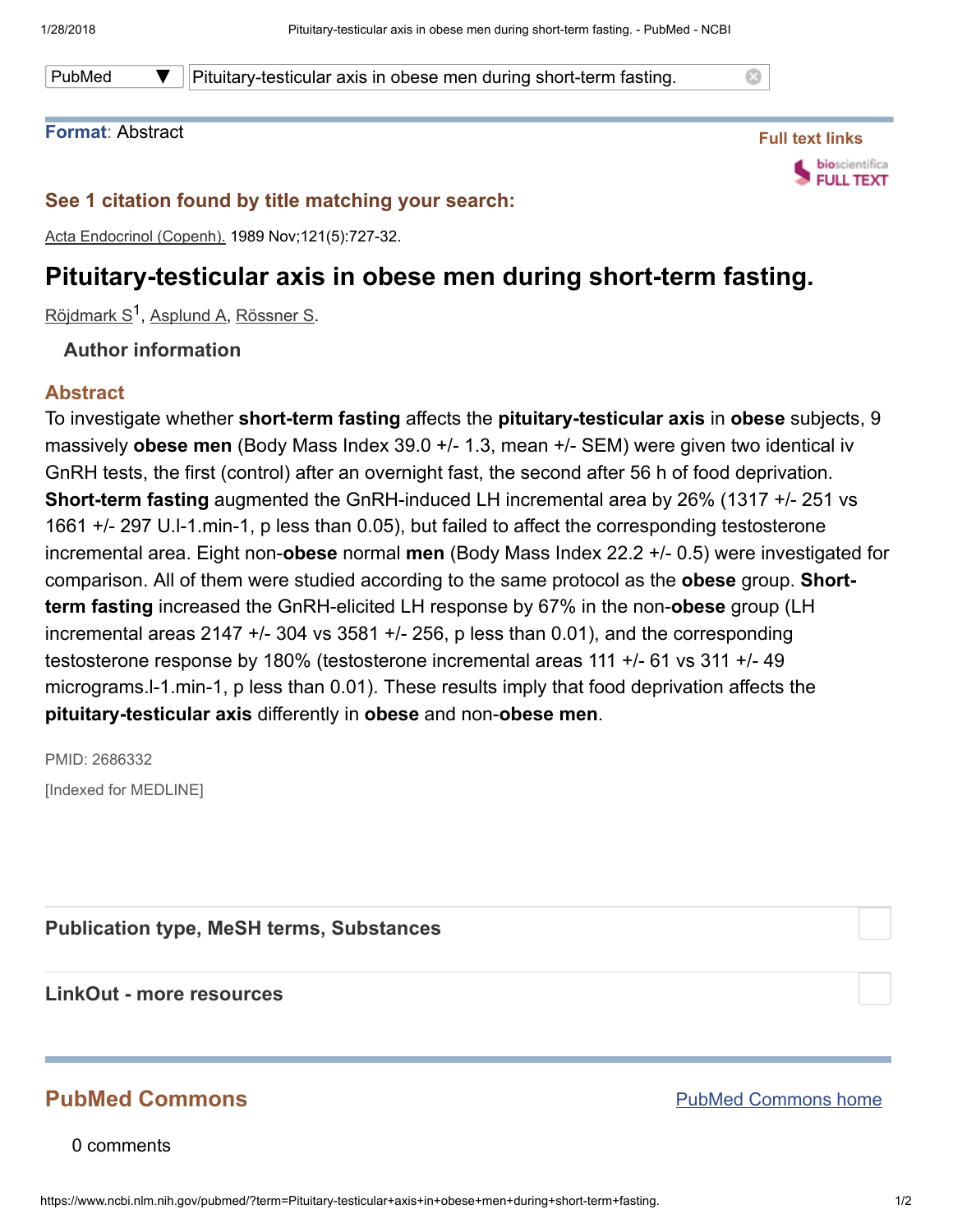PubMed  $\blacktriangledown$  | Pituitary-testicular axis in obese men during short-term fasting.

#### Format: Abstract



Ø

### See 1 citation found by title matching your search:

Acta Endocrinol (Copenh). 1989 Nov;121(5):727-32.

# Pituitary-testicular axis in obese men during short-term fasting.

<u>[Röjdmark](https://www.ncbi.nlm.nih.gov/pubmed/?term=R%C3%B6jdmark%20S%5BAuthor%5D&cauthor=true&cauthor_uid=2686332) S<sup>1</sup>, [Asplund](https://www.ncbi.nlm.nih.gov/pubmed/?term=Asplund%20A%5BAuthor%5D&cauthor=true&cauthor_uid=2686332) A, [Rössner](https://www.ncbi.nlm.nih.gov/pubmed/?term=R%C3%B6ssner%20S%5BAuthor%5D&cauthor=true&cauthor_uid=2686332) S</u>.

#### Author information

#### Abstract

To investigate whether short-term fasting affects the pituitary-testicular axis in obese subjects, 9 massively **obese men** (Body Mass Index 39.0 +/- 1.3, mean +/- SEM) were given two identical iv GnRH tests, the first (control) after an overnight fast, the second after 56 h of food deprivation. Short-term fasting augmented the GnRH-induced LH incremental area by 26% (1317 +/- 251 vs 1661 +/- 297 U.l-1.min-1, p less than 0.05), but failed to affect the corresponding testosterone incremental area. Eight non-**obese** normal men (Body Mass Index 22.2 +/- 0.5) were investigated for comparison. All of them were studied according to the same protocol as the **obese** group. **Short**term fasting increased the GnRH-elicited LH response by 67% in the non-obese group (LH incremental areas 2147  $+/-$  304 vs 3581  $+/-$  256, p less than 0.01), and the corresponding testosterone response by 180% (testosterone incremental areas 111 +/- 61 vs 311 +/- 49 micrograms.l-1.min-1, p less than 0.01). These results imply that food deprivation affects the pituitary-testicular axis differently in obese and non-obese men.

PMID: 2686332 [Indexed for MEDLINE]

Publication type, MeSH terms, Substances

LinkOut - more resources

## PubMed Commons

0 comments

PubMed [Commons](https://www.ncbi.nlm.nih.gov/pubmedcommons/) home